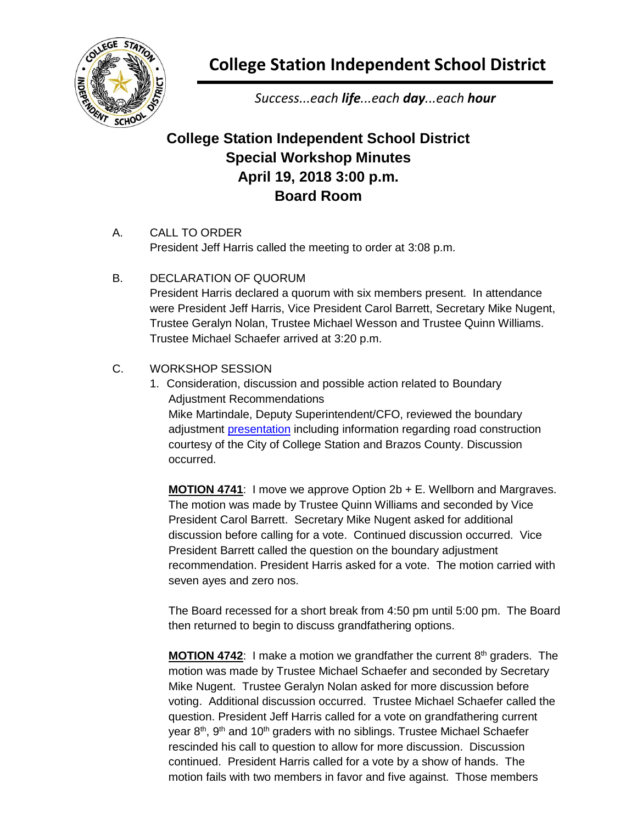

**College Station Independent School District**

*Success...each life...each day...each hour*

## **College Station Independent School District Special Workshop Minutes April 19, 2018 3:00 p.m. Board Room**

- A. CALL TO ORDER President Jeff Harris called the meeting to order at 3:08 p.m.
- B. DECLARATION OF QUORUM President Harris declared a quorum with six members present. In attendance were President Jeff Harris, Vice President Carol Barrett, Secretary Mike Nugent, Trustee Geralyn Nolan, Trustee Michael Wesson and Trustee Quinn Williams. Trustee Michael Schaefer arrived at 3:20 p.m.
- C. WORKSHOP SESSION
	- 1. Consideration, discussion and possible action related to Boundary Adjustment Recommendations Mike Martindale, Deputy Superintendent/CFO, reviewed the boundary adjustment [presentation](http://web.csisd.org/school_board/agendas/2017-2018/May/4-19-18WorkshopPresentation.pdf) including information regarding road construction courtesy of the City of College Station and Brazos County. Discussion occurred.

**MOTION 4741**: I move we approve Option 2b + E. Wellborn and Margraves. The motion was made by Trustee Quinn Williams and seconded by Vice President Carol Barrett. Secretary Mike Nugent asked for additional discussion before calling for a vote. Continued discussion occurred. Vice President Barrett called the question on the boundary adjustment recommendation. President Harris asked for a vote. The motion carried with seven ayes and zero nos.

The Board recessed for a short break from 4:50 pm until 5:00 pm. The Board then returned to begin to discuss grandfathering options.

**MOTION 4742:** I make a motion we grandfather the current 8<sup>th</sup> graders. The motion was made by Trustee Michael Schaefer and seconded by Secretary Mike Nugent. Trustee Geralyn Nolan asked for more discussion before voting. Additional discussion occurred. Trustee Michael Schaefer called the question. President Jeff Harris called for a vote on grandfathering current year 8<sup>th</sup>, 9<sup>th</sup> and 10<sup>th</sup> graders with no siblings. Trustee Michael Schaefer rescinded his call to question to allow for more discussion. Discussion continued. President Harris called for a vote by a show of hands. The motion fails with two members in favor and five against. Those members